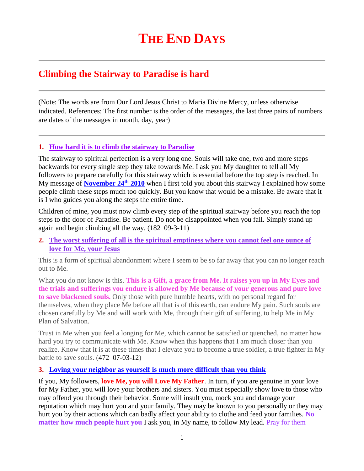# **Climbing the Stairway to Paradise is hard**

(Note: The words are from Our Lord Jesus Christ to Maria Divine Mercy, unless otherwise indicated. References: The first number is the order of the messages, the last three pairs of numbers are dates of the messages in month, day, year)

## **1. [How hard it is to climb the stairway to Paradise](http://www.thewarningsecondcoming.com/how-hard-it-is-to-climb-the-stairway-to-paradise/)**

The stairway to spiritual perfection is a very long one. Souls will take one, two and more steps backwards for every single step they take towards Me. I ask you My daughter to tell all My followers to prepare carefully for this stairway which is essential before the top step is reached. In My message of **[November 24](http://www.thewarningsecondcoming.com/stairway-to-spiritual-perfection/)th 2010** when I first told you about this stairway I explained how some people climb these steps much too quickly. But you know that would be a mistake. Be aware that it is I who guides you along the steps the entire time.

Children of mine, you must now climb every step of the spiritual stairway before you reach the top steps to the door of Paradise. Be patient. Do not be disappointed when you fall. Simply stand up again and begin climbing all the way. (182 09-3-11)

## **2. [The worst suffering of all is the spiritual emptiness where you cannot feel one ounce of](http://www.thewarningsecondcoming.com/the-worst-suffering-of-all-is-the-spiritual-emptiness-where-you-cannot-feel-one-ounce-of-love-for-me-your-jesus/)  [love for Me, your Jesus](http://www.thewarningsecondcoming.com/the-worst-suffering-of-all-is-the-spiritual-emptiness-where-you-cannot-feel-one-ounce-of-love-for-me-your-jesus/)**

This is a form of spiritual abandonment where I seem to be so far away that you can no longer reach out to Me.

What you do not know is this. **This is a Gift, a grace from Me. It raises you up in My Eyes and the trials and sufferings you endure is allowed by Me because of your generous and pure love to save blackened souls.** Only those with pure humble hearts, with no personal regard for themselves, when they place Me before all that is of this earth, can endure My pain. Such souls are chosen carefully by Me and will work with Me, through their gift of suffering, to help Me in My Plan of Salvation.

Trust in Me when you feel a longing for Me, which cannot be satisfied or quenched, no matter how hard you try to communicate with Me. Know when this happens that I am much closer than you realize. Know that it is at these times that I elevate you to become a true soldier, a true fighter in My battle to save souls. (472 07-03-12)

## **3. [Loving your neighbor as yourself is much more difficult than you think](http://www.thewarningsecondcoming.com/loving-your-neighbour-as-yourself-is-much-more-difficult-than-you-think/)**

If you, My followers, **love Me, you will Love My Father**. In turn, if you are genuine in your love for My Father, you will love your brothers and sisters. You must especially show love to those who may offend you through their behavior. Some will insult you, mock you and damage your reputation which may hurt you and your family. They may be known to you personally or they may hurt you by their actions which can badly affect your ability to clothe and feed your families. **No matter how much people hurt you** I ask you, in My name, to follow My lead. Pray for them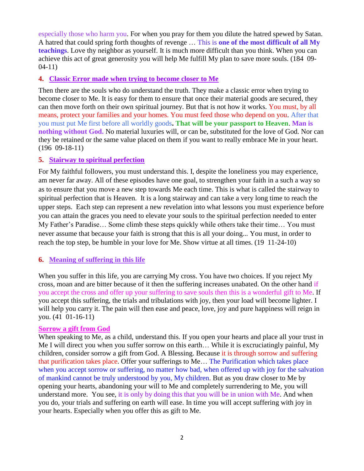especially those who harm you. For when you pray for them you dilute the hatred spewed by Satan. A hatred that could spring forth thoughts of revenge … This is **one of the most difficult of all My teachings**. Love thy neighbor as yourself. It is much more difficult than you think. When you can achieve this act of great generosity you will help Me fulfill My plan to save more souls. (184 09- 04-11)

## **4. [Classic Error made when trying to become closer to Me](http://www.thewarningsecondcoming.com/classic-error-made-when-trying-to-become-closer-to-me/)**

Then there are the souls who do understand the truth. They make a classic error when trying to become closer to Me. It is easy for them to ensure that once their material goods are secured, they can then move forth on their own spiritual journey. But that is not how it works. You must, by all means, protect your families and your homes. You must feed those who depend on you. After that you must put Me first before all worldly goods**. That will be your passport to Heaven**. **Man is nothing without God.** No material luxuries will, or can be, substituted for the love of God. Nor can they be retained or the same value placed on them if you want to really embrace Me in your heart. (196 09-18-11)

# **5. [Stairway to spiritual perfection](http://www.thewarningsecondcoming.com/stairway-to-spiritual-perfection/)**

For My faithful followers, you must understand this. I, despite the loneliness you may experience, am never far away. All of these episodes have one goal, to strengthen your faith in a such a way so as to ensure that you move a new step towards Me each time. This is what is called the stairway to spiritual perfection that is Heaven. It is a long stairway and can take a very long time to reach the upper steps. Each step can represent a new revelation into what lessons you must experience before you can attain the graces you need to elevate your souls to the spiritual perfection needed to enter My Father's Paradise… Some climb these steps quickly while others take their time… You must never assume that because your faith is strong that this is all your doing... You must, in order to reach the top step, be humble in your love for Me. Show virtue at all times. (19 11-24-10)

# **6. Meaning of suffering in this life**

When you suffer in this life, you are carrying My cross. You have two choices. If you reject My cross, moan and are bitter because of it then the suffering increases unabated. On the other hand if you accept the cross and offer up your suffering to save souls then this is a wonderful gift to Me. If you accept this suffering, the trials and tribulations with joy, then your load will become lighter. I will help you carry it. The pain will then ease and peace, love, joy and pure happiness will reign in you. (41 01-16-11)

## **Sorrow a gift from God**

When speaking to Me, as a child, understand this. If you open your hearts and place all your trust in Me I will direct you when you suffer sorrow on this earth… While it is excruciatingly painful, My children, consider sorrow a gift from God. A Blessing. Because it is through sorrow and suffering that purification takes place. Offer your sufferings to Me… The Purification which takes place when you accept sorrow or suffering, no matter how bad, when offered up with joy for the salvation of mankind cannot be truly understood by you, My children. But as you draw closer to Me by opening your hearts, abandoning your will to Me and completely surrendering to Me, you will understand more. You see, it is only by doing this that you will be in union with Me. And when you do, your trials and suffering on earth will ease. In time you will accept suffering with joy in your hearts. Especially when you offer this as gift to Me.